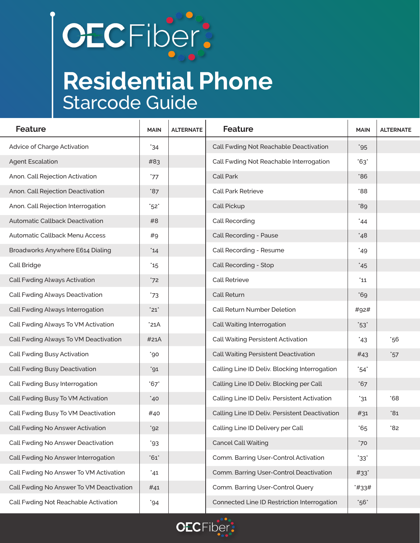## **CECFiber:**

## **Residential Phone** Starcode Guide

| <b>Feature</b>                           | <b>MAIN</b>  | <b>ALTERNATE</b> | <b>Feature</b>                                 | <b>MAIN</b>        | <b>ALTERNATE</b> |
|------------------------------------------|--------------|------------------|------------------------------------------------|--------------------|------------------|
| Advice of Charge Activation              | $34^\circ$   |                  | Call Fwding Not Reachable Deactivation         | $^*95$             |                  |
| <b>Agent Escalation</b>                  | #83          |                  | Call Fwding Not Reachable Interrogation        | $^{\ast}63^{\ast}$ |                  |
| Anon. Call Rejection Activation          | '77          |                  | Call Park                                      | $86^\circ$         |                  |
| Anon. Call Rejection Deactivation        | $*87$        |                  | Call Park Retrieve                             | *88                |                  |
| Anon. Call Rejection Interrogation       | $^*52^*$     |                  | Call Pickup                                    | 89                 |                  |
| Automatic Callback Deactivation          | #8           |                  | Call Recording                                 | $44^\circ$         |                  |
| Automatic Callback Menu Access           | #9           |                  | Call Recording - Pause                         | $48^\circ$         |                  |
| Broadworks Anywhere E614 Dialing         | 14           |                  | Call Recording - Resume                        | 49                 |                  |
| Call Bridge                              | $^*$ 15      |                  | Call Recording - Stop                          | 45                 |                  |
| <b>Call Fwding Always Activation</b>     | 72           |                  | <b>Call Retrieve</b>                           | 11                 |                  |
| Call Fwding Always Deactivation          | $^{\ast}73$  |                  | Call Return                                    | $*69$              |                  |
| Call Fwding Always Interrogation         | "21"         |                  | Call Return Number Deletion                    | #92#               |                  |
| Call Fwding Always To VM Activation      | $^*$ 21A     |                  | Call Waiting Interrogation                     | $^*$ 53 $^*$       |                  |
| Call Fwding Always To VM Deactivation    | #21A         |                  | Call Waiting Persistent Activation             | 43                 | $*56$            |
| Call Fwding Busy Activation              | $^{\ast}$ 90 |                  | Call Waiting Persistent Deactivation           | #43                | $^{\ast}57$      |
| Call Fwding Busy Deactivation            | $^{\ast}91$  |                  | Calling Line ID Deliv. Blocking Interrogation  | $^*$ 54 $^*$       |                  |
| Call Fwding Busy Interrogation           | $*67*$       |                  | Calling Line ID Deliv. Blocking per Call       | $*67$              |                  |
| Call Fwding Busy To VM Activation        | $^*$ 40      |                  | Calling Line ID Deliv. Persistent Activation   | $^*31$             | $*68$            |
| Call Fwding Busy To VM Deactivation      | #40          |                  | Calling Line ID Deliv. Persistent Deactivation | #31                | 31               |
| Call Fwding No Answer Activation         | $^{\circ}92$ |                  | Calling Line ID Delivery per Call              | $^{\ast}65$        | 82               |
| Call Fwding No Answer Deactivation       | "93"         |                  | <b>Cancel Call Waiting</b>                     | $*70$              |                  |
| Call Fwding No Answer Interrogation      | "61"         |                  | Comm. Barring User-Control Activation          | $33^\circ$         |                  |
| Call Fwding No Answer To VM Activation   | $^*41$       |                  | Comm. Barring User-Control Deactivation        | $#33*$             |                  |
| Call Fwding No Answer To VM Deactivation | #41          |                  | Comm. Barring User-Control Query               | *#33#              |                  |
| Call Fwding Not Reachable Activation     | $^{\ast}94$  |                  | Connected Line ID Restriction Interrogation    | $^*$ 56 $^*$       |                  |